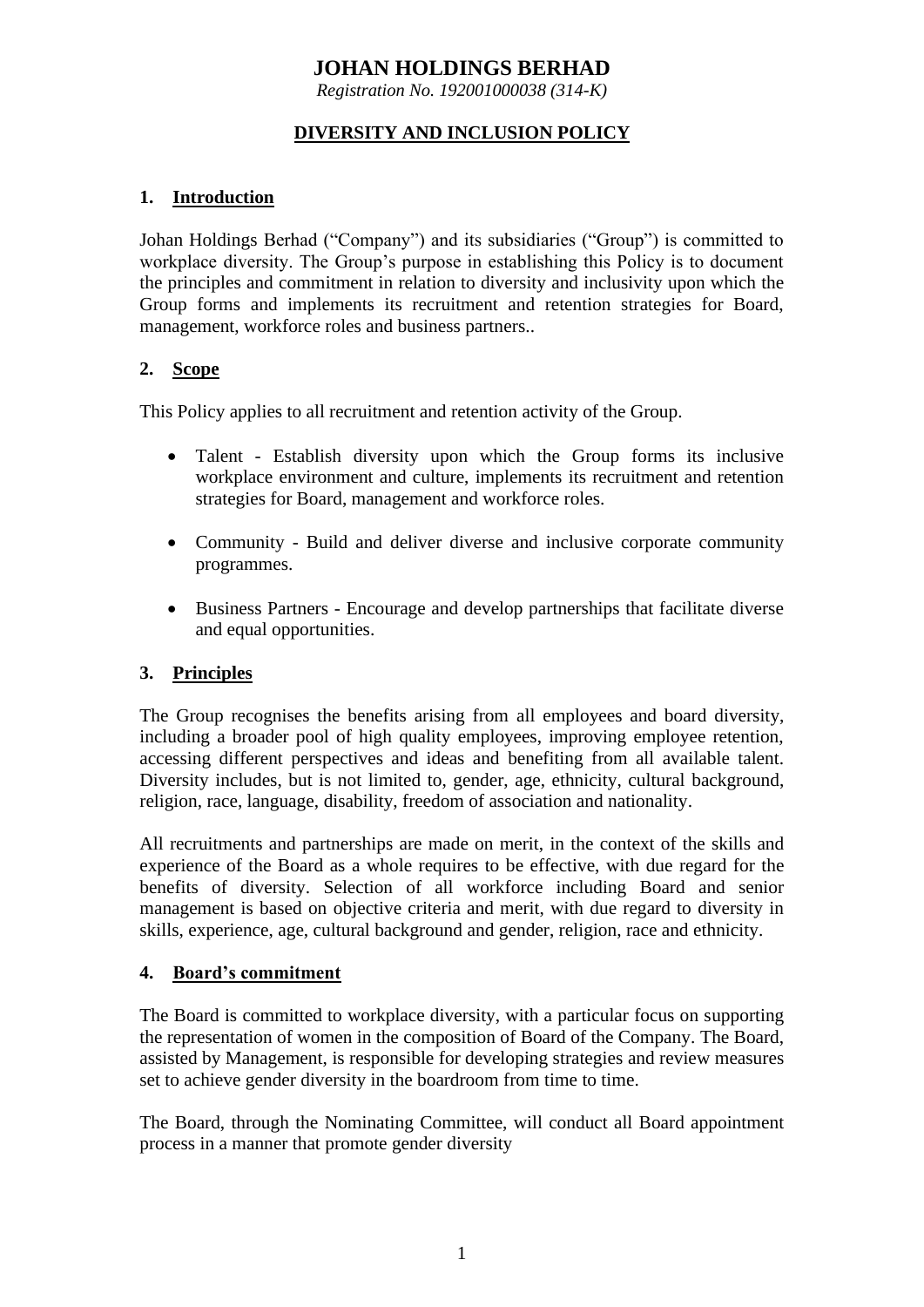# **JOHAN HOLDINGS BERHAD**

*Registration No. 192001000038 (314-K)*

# **DIVERSITY AND INCLUSION POLICY**

## **1. Introduction**

Johan Holdings Berhad ("Company") and its subsidiaries ("Group") is committed to workplace diversity. The Group's purpose in establishing this Policy is to document the principles and commitment in relation to diversity and inclusivity upon which the Group forms and implements its recruitment and retention strategies for Board, management, workforce roles and business partners..

#### **2. Scope**

This Policy applies to all recruitment and retention activity of the Group.

- Talent Establish diversity upon which the Group forms its inclusive workplace environment and culture, implements its recruitment and retention strategies for Board, management and workforce roles.
- Community Build and deliver diverse and inclusive corporate community programmes.
- Business Partners Encourage and develop partnerships that facilitate diverse and equal opportunities.

#### **3. Principles**

The Group recognises the benefits arising from all employees and board diversity, including a broader pool of high quality employees, improving employee retention, accessing different perspectives and ideas and benefiting from all available talent. Diversity includes, but is not limited to, gender, age, ethnicity, cultural background, religion, race, language, disability, freedom of association and nationality.

All recruitments and partnerships are made on merit, in the context of the skills and experience of the Board as a whole requires to be effective, with due regard for the benefits of diversity. Selection of all workforce including Board and senior management is based on objective criteria and merit, with due regard to diversity in skills, experience, age, cultural background and gender, religion, race and ethnicity.

#### **4. Board's commitment**

The Board is committed to workplace diversity, with a particular focus on supporting the representation of women in the composition of Board of the Company. The Board, assisted by Management, is responsible for developing strategies and review measures set to achieve gender diversity in the boardroom from time to time.

The Board, through the Nominating Committee, will conduct all Board appointment process in a manner that promote gender diversity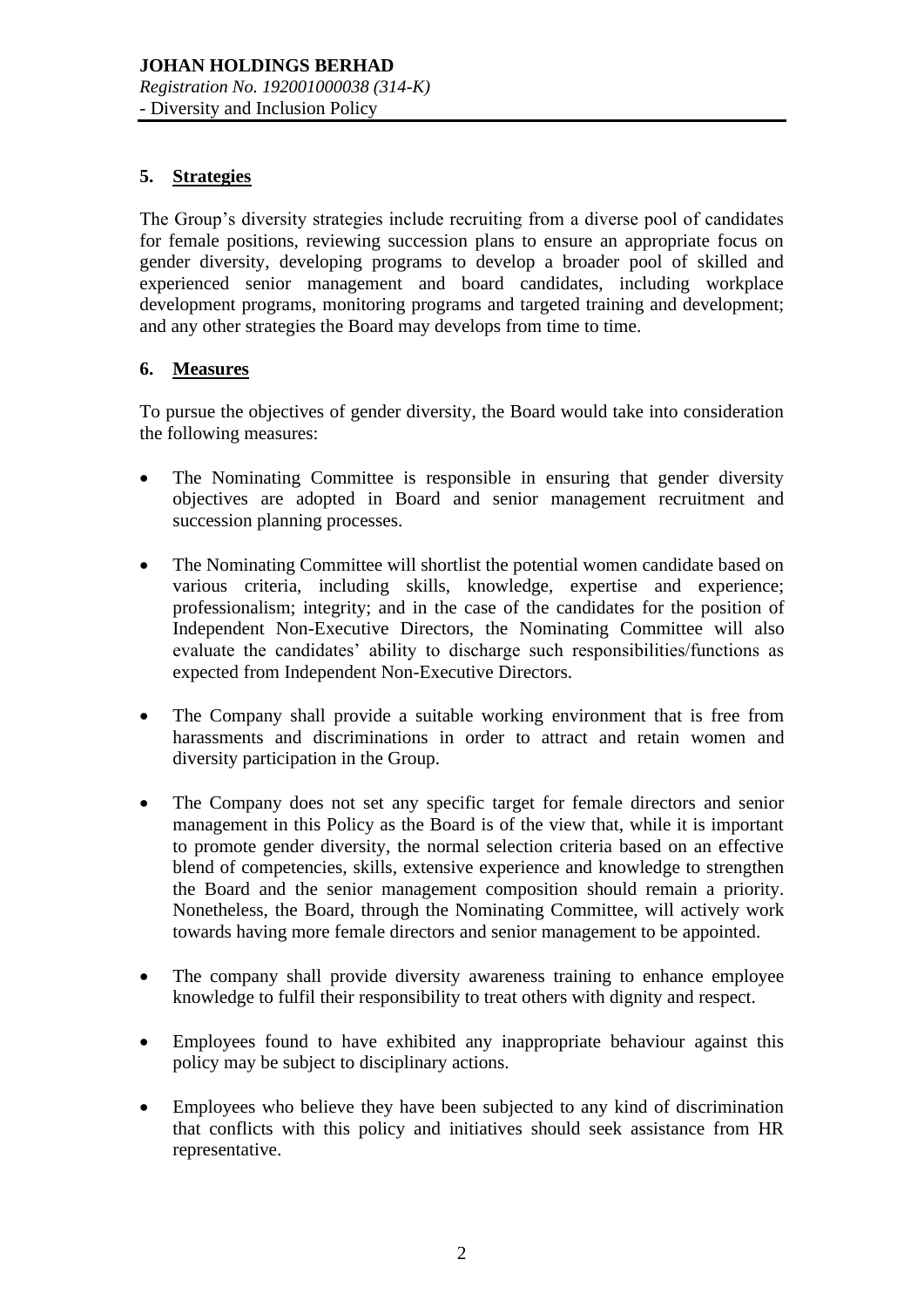#### **5. Strategies**

The Group's diversity strategies include recruiting from a diverse pool of candidates for female positions, reviewing succession plans to ensure an appropriate focus on gender diversity, developing programs to develop a broader pool of skilled and experienced senior management and board candidates, including workplace development programs, monitoring programs and targeted training and development; and any other strategies the Board may develops from time to time.

## **6. Measures**

To pursue the objectives of gender diversity, the Board would take into consideration the following measures:

- The Nominating Committee is responsible in ensuring that gender diversity objectives are adopted in Board and senior management recruitment and succession planning processes.
- The Nominating Committee will shortlist the potential women candidate based on various criteria, including skills, knowledge, expertise and experience; professionalism; integrity; and in the case of the candidates for the position of Independent Non-Executive Directors, the Nominating Committee will also evaluate the candidates' ability to discharge such responsibilities/functions as expected from Independent Non-Executive Directors.
- The Company shall provide a suitable working environment that is free from harassments and discriminations in order to attract and retain women and diversity participation in the Group.
- The Company does not set any specific target for female directors and senior management in this Policy as the Board is of the view that, while it is important to promote gender diversity, the normal selection criteria based on an effective blend of competencies, skills, extensive experience and knowledge to strengthen the Board and the senior management composition should remain a priority. Nonetheless, the Board, through the Nominating Committee, will actively work towards having more female directors and senior management to be appointed.
- The company shall provide diversity awareness training to enhance employee knowledge to fulfil their responsibility to treat others with dignity and respect.
- Employees found to have exhibited any inappropriate behaviour against this policy may be subject to disciplinary actions.
- Employees who believe they have been subjected to any kind of discrimination that conflicts with this policy and initiatives should seek assistance from HR representative.